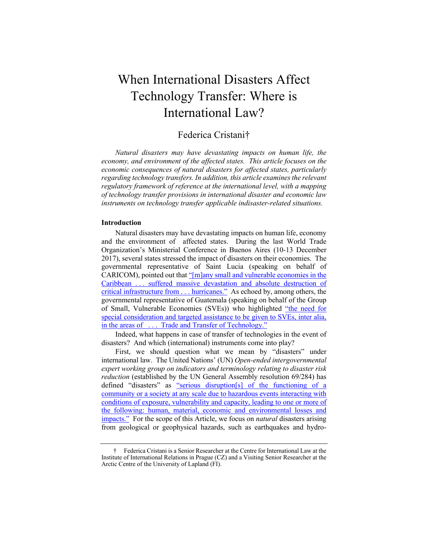# When International Disasters Affect Technology Transfer: Where is International Law?

# Federica Cristani†

*Natural disasters may have devastating impacts on human life, the economy, and environment of the affected states. This article focuses on the economic consequences of natural disasters for affected states, particularly regarding technology transfers. In addition, this article examines the relevant regulatory framework of reference at the international level, with a mapping of technology transfer provisions in international disaster and economic law instruments on technology transfer applicable indisaster-related situations.*

#### **Introduction**

Natural disasters may have devastating impacts on human life, economy and the environment of affected states. During the last World Trade Organization's Ministerial Conference in Buenos Aires (10-13 December 2017), several states stressed the impact of disasters on their economies. The governmental representative of Saint Lucia (speaking on behalf of CARICOM), pointed out that " $[m]$ any small and vulnerable economies in the Caribbean ... suffered massive devastation and absolute destruction of critical infrastructure from . . . hurricanes." As echoed by, among others, the governmental representative of Guatemala (speaking on behalf of the Group of Small, Vulnerable Economies (SVEs)) who highlighted "the need for special consideration and targeted assistance to be given to SVEs, inter alia, in the areas of . . . Trade and Transfer of Technology."

Indeed, what happens in case of transfer of technologies in the event of disasters? And which (international) instruments come into play?

First, we should question what we mean by "disasters" under international law. The United Nations' (UN) *Open-ended intergovernmental expert working group on indicators and terminology relating to disaster risk reduction* (established by the UN General Assembly resolution 69/284) has defined "disasters" as "serious disruption[s] of the functioning of a community or a society at any scale due to hazardous events interacting with conditions of exposure, vulnerability and capacity, leading to one or more of the following: human, material, economic and environmental losses and impacts." For the scope of this Article, we focus on *natural* disasters arising from geological or geophysical hazards, such as earthquakes and hydro-

<sup>†</sup> Federica Cristani is a Senior Researcher at the Centre for International Law at the Institute of International Relations in Prague (CZ) and a Visiting Senior Researcher at the Arctic Centre of the University of Lapland (FI).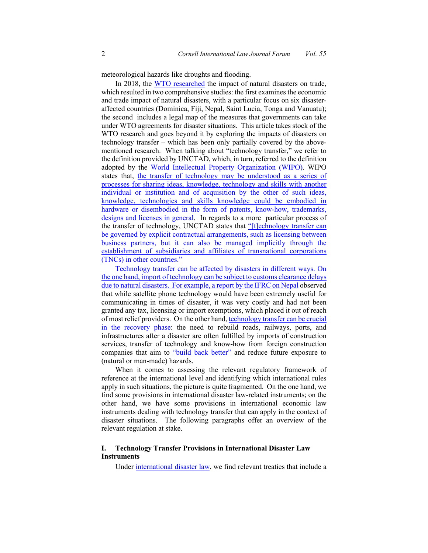meteorological hazards like droughts and flooding.

In 2018, the WTO researched the impact of natural disasters on trade, which resulted in two comprehensive studies: the first examines the economic and trade impact of natural disasters, with a particular focus on six disasteraffected countries (Dominica, Fiji, Nepal, Saint Lucia, Tonga and Vanuatu); the second includes a legal map of the measures that governments can take under WTO agreements for disaster situations. This article takes stock of the WTO research and goes beyond it by exploring the impacts of disasters on technology transfer – which has been only partially covered by the abovementioned research. When talking about "technology transfer," we refer to the definition provided by UNCTAD, which, in turn, referred to the definition adopted by the World Intellectual Property Organization (WIPO). WIPO states that, the transfer of technology may be understood as a series of processes for sharing ideas, knowledge, technology and skills with another individual or institution and of acquisition by the other of such ideas, knowledge, technologies and skills knowledge could be embodied in hardware or disembodied in the form of patents, know-how, trademarks, designs and licenses in general. In regards to a more particular process of the transfer of technology, UNCTAD states that "[t]echnology transfer can be governed by explicit contractual arrangements, such as licensing between business partners, but it can also be managed implicitly through the establishment of subsidiaries and affiliates of transnational corporations (TNCs) in other countries."

Technology transfer can be affected by disasters in different ways. On the one hand, import of technology can be subject to customs clearance delays due to natural disasters. For example, a report by the IFRC on Nepal observed that while satellite phone technology would have been extremely useful for communicating in times of disaster, it was very costly and had not been granted any tax, licensing or import exemptions, which placed it out of reach of most relief providers. On the other hand, technology transfer can be crucial in the recovery phase: the need to rebuild roads, railways, ports, and infrastructures after a disaster are often fulfilled by imports of construction services, transfer of technology and know-how from foreign construction companies that aim to "build back better" and reduce future exposure to (natural or man-made) hazards.

When it comes to assessing the relevant regulatory framework of reference at the international level and identifying which international rules apply in such situations, the picture is quite fragmented. On the one hand, we find some provisions in international disaster law-related instruments; on the other hand, we have some provisions in international economic law instruments dealing with technology transfer that can apply in the context of disaster situations. The following paragraphs offer an overview of the relevant regulation at stake.

## **I. Technology Transfer Provisions in International Disaster Law Instruments**

Under international disaster law, we find relevant treaties that include a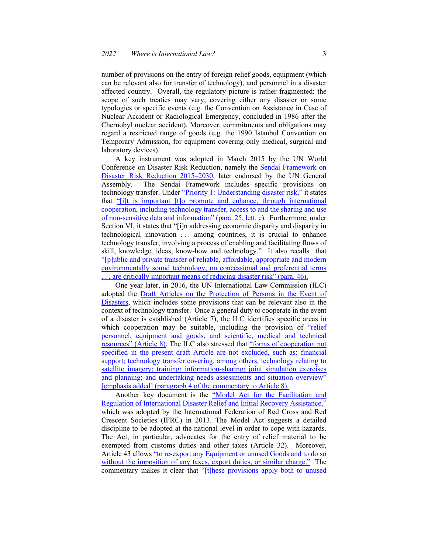number of provisions on the entry of foreign relief goods, equipment (which can be relevant also for transfer of technology), and personnel in a disaster affected country. Overall, the regulatory picture is rather fragmented: the scope of such treaties may vary, covering either any disaster or some typologies or specific events (e.g. the Convention on Assistance in Case of Nuclear Accident or Radiological Emergency, concluded in 1986 after the Chernobyl nuclear accident). Moreover, commitments and obligations may regard a restricted range of goods (e.g. the 1990 Istanbul Convention on Temporary Admission, for equipment covering only medical, surgical and laboratory devices).

A key instrument was adopted in March 2015 by the UN World Conference on Disaster Risk Reduction, namely the Sendai Framework on Disaster Risk Reduction 2015–2030, later endorsed by the UN General Assembly. The Sendai Framework includes specific provisions on technology transfer. Under "Priority 1: Understanding disaster risk," it states that "[i]t is important [t]o promote and enhance, through international cooperation, including technology transfer, access to and the sharing and use of non-sensitive data and information" (para. 25, lett. c). Furthermore, under Section VI, it states that "[i]n addressing economic disparity and disparity in technological innovation . . . among countries, it is crucial to enhance technology transfer, involving a process of enabling and facilitating flows of skill, knowledge, ideas, know-how and technology." It also recalls that "[p]ublic and private transfer of reliable, affordable, appropriate and modern environmentally sound technology, on concessional and preferential terms ... are critically important means of reducing disaster risk" (para. 46).

One year later, in 2016, the UN International Law Commission (ILC) adopted the Draft Articles on the Protection of Persons in the Event of Disasters, which includes some provisions that can be relevant also in the context of technology transfer. Once a general duty to cooperate in the event of a disaster is established (Article 7), the ILC identifies specific areas in which cooperation may be suitable, including the provision of "relief" personnel, equipment and goods, and scientific, medical and technical resources" (Article 8). The ILC also stressed that "forms of cooperation not specified in the present draft Article are not excluded, such as: financial support; technology transfer covering, among others, technology relating to satellite imagery; training; information-sharing; joint simulation exercises and planning; and undertaking needs assessments and situation overview" [emphasis added] (paragraph 4 of the commentary to Article 8).

Another key document is the "Model Act for the Facilitation and Regulation of International Disaster Relief and Initial Recovery Assistance," which was adopted by the International Federation of Red Cross and Red Crescent Societies (IFRC) in 2013. The Model Act suggests a detailed discipline to be adopted at the national level in order to cope with hazards. The Act, in particular, advocates for the entry of relief material to be exempted from customs duties and other taxes (Article 32). Moreover, Article 43 allows "to re-export any Equipment or unused Goods and to do so without the imposition of any taxes, export duties, or similar charge." The commentary makes it clear that "[t]hese provisions apply both to unused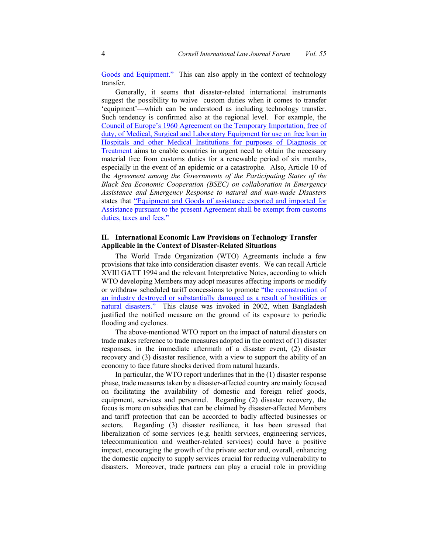Goods and Equipment." This can also apply in the context of technology transfer.

Generally, it seems that disaster-related international instruments suggest the possibility to waive custom duties when it comes to transfer 'equipment'—which can be understood as including technology transfer. Such tendency is confirmed also at the regional level. For example, the Council of Europe's 1960 Agreement on the Temporary Importation, free of duty, of Medical, Surgical and Laboratory Equipment for use on free loan in Hospitals and other Medical Institutions for purposes of Diagnosis or Treatment aims to enable countries in urgent need to obtain the necessary material free from customs duties for a renewable period of six months, especially in the event of an epidemic or a catastrophe. Also, Article 10 of the *Agreement among the Governments of the Participating States of the Black Sea Economic Cooperation (BSEC) on collaboration in Emergency Assistance and Emergency Response to natural and man-made Disasters* states that "Equipment and Goods of assistance exported and imported for Assistance pursuant to the present Agreement shall be exempt from customs duties, taxes and fees."

### **II. International Economic Law Provisions on Technology Transfer Applicable in the Context of Disaster-Related Situations**

The World Trade Organization (WTO) Agreements include a few provisions that take into consideration disaster events. We can recall Article XVIII GATT 1994 and the relevant Interpretative Notes, according to which WTO developing Members may adopt measures affecting imports or modify or withdraw scheduled tariff concessions to promote "the reconstruction of an industry destroyed or substantially damaged as a result of hostilities or natural disasters." This clause was invoked in 2002, when Bangladesh justified the notified measure on the ground of its exposure to periodic flooding and cyclones.

The above-mentioned WTO report on the impact of natural disasters on trade makes reference to trade measures adopted in the context of (1) disaster responses, in the immediate aftermath of a disaster event, (2) disaster recovery and (3) disaster resilience, with a view to support the ability of an economy to face future shocks derived from natural hazards.

In particular, the WTO report underlines that in the (1) disaster response phase, trade measures taken by a disaster-affected country are mainly focused on facilitating the availability of domestic and foreign relief goods, equipment, services and personnel. Regarding (2) disaster recovery, the focus is more on subsidies that can be claimed by disaster-affected Members and tariff protection that can be accorded to badly affected businesses or sectors. Regarding (3) disaster resilience, it has been stressed that liberalization of some services (e.g. health services, engineering services, telecommunication and weather-related services) could have a positive impact, encouraging the growth of the private sector and, overall, enhancing the domestic capacity to supply services crucial for reducing vulnerability to disasters. Moreover, trade partners can play a crucial role in providing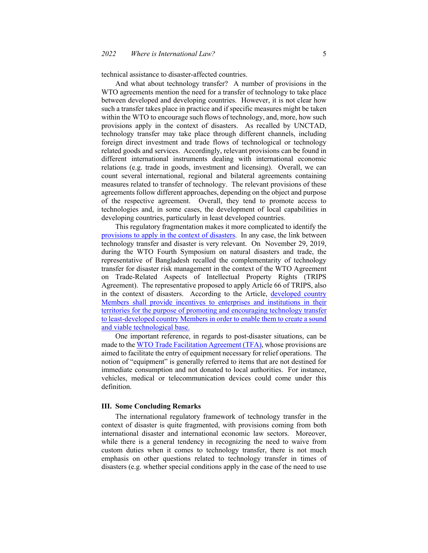technical assistance to disaster-affected countries.

And what about technology transfer? A number of provisions in the WTO agreements mention the need for a transfer of technology to take place between developed and developing countries. However, it is not clear how such a transfer takes place in practice and if specific measures might be taken within the WTO to encourage such flows of technology, and, more, how such provisions apply in the context of disasters. As recalled by UNCTAD, technology transfer may take place through different channels, including foreign direct investment and trade flows of technological or technology related goods and services. Accordingly, relevant provisions can be found in different international instruments dealing with international economic relations (e.g. trade in goods, investment and licensing). Overall, we can count several international, regional and bilateral agreements containing measures related to transfer of technology. The relevant provisions of these agreements follow different approaches, depending on the object and purpose of the respective agreement. Overall, they tend to promote access to technologies and, in some cases, the development of local capabilities in developing countries, particularly in least developed countries.

This regulatory fragmentation makes it more complicated to identify the provisions to apply in the context of disasters. In any case, the link between technology transfer and disaster is very relevant. On November 29, 2019, during the WTO Fourth Symposium on natural disasters and trade, the representative of Bangladesh recalled the complementarity of technology transfer for disaster risk management in the context of the WTO Agreement on Trade-Related Aspects of Intellectual Property Rights (TRIPS Agreement). The representative proposed to apply Article 66 of TRIPS, also in the context of disasters. According to the Article, developed country Members shall provide incentives to enterprises and institutions in their territories for the purpose of promoting and encouraging technology transfer to least-developed country Members in order to enable them to create a sound and viable technological base.

One important reference, in regards to post-disaster situations, can be made to the WTO Trade Facilitation Agreement (TFA), whose provisions are aimed to facilitate the entry of equipment necessary for relief operations. The notion of "equipment" is generally referred to items that are not destined for immediate consumption and not donated to local authorities. For instance, vehicles, medical or telecommunication devices could come under this definition.

#### **III. Some Concluding Remarks**

The international regulatory framework of technology transfer in the context of disaster is quite fragmented, with provisions coming from both international disaster and international economic law sectors. Moreover, while there is a general tendency in recognizing the need to waive from custom duties when it comes to technology transfer, there is not much emphasis on other questions related to technology transfer in times of disasters (e.g. whether special conditions apply in the case of the need to use